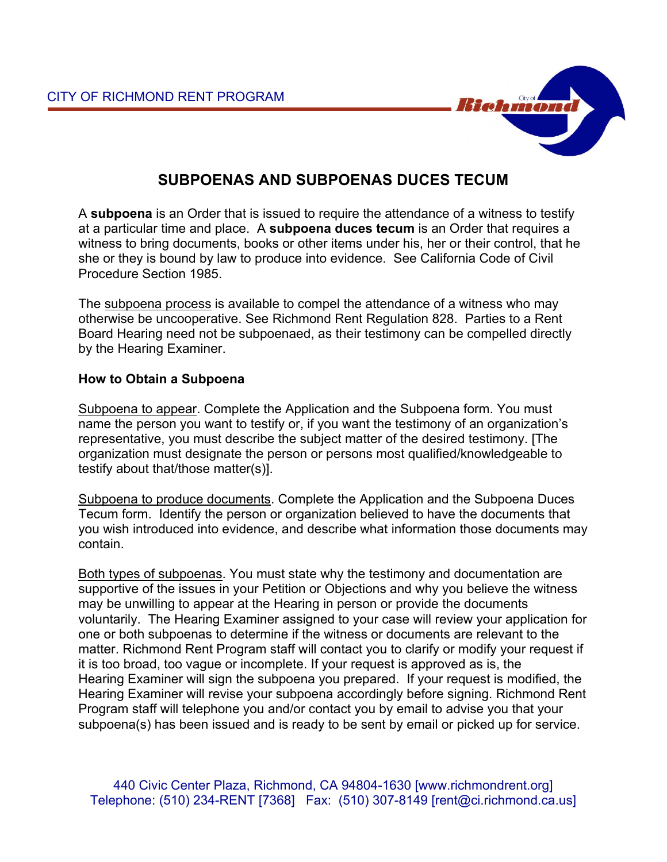

# **SUBPOENAS AND SUBPOENAS DUCES TECUM**

A **subpoena** is an Order that is issued to require the attendance of a witness to testify at a particular time and place. A **subpoena duces tecum** is an Order that requires a witness to bring documents, books or other items under his, her or their control, that he she or they is bound by law to produce into evidence. See California Code of Civil Procedure Section 1985.

The subpoena process is available to compel the attendance of a witness who may otherwise be uncooperative. See Richmond Rent Regulation 828. Parties to a Rent Board Hearing need not be subpoenaed, as their testimony can be compelled directly by the Hearing Examiner.

## **How to Obtain a Subpoena**

Subpoena to appear. Complete the Application and the Subpoena form. You must name the person you want to testify or, if you want the testimony of an organization's representative, you must describe the subject matter of the desired testimony. [The organization must designate the person or persons most qualified/knowledgeable to testify about that/those matter(s)].

Subpoena to produce documents. Complete the Application and the Subpoena Duces Tecum form. Identify the person or organization believed to have the documents that you wish introduced into evidence, and describe what information those documents may contain.

Both types of subpoenas. You must state why the testimony and documentation are supportive of the issues in your Petition or Objections and why you believe the witness may be unwilling to appear at the Hearing in person or provide the documents voluntarily. The Hearing Examiner assigned to your case will review your application for one or both subpoenas to determine if the witness or documents are relevant to the matter. Richmond Rent Program staff will contact you to clarify or modify your request if it is too broad, too vague or incomplete. If your request is approved as is, the Hearing Examiner will sign the subpoena you prepared. If your request is modified, the Hearing Examiner will revise your subpoena accordingly before signing. Richmond Rent Program staff will telephone you and/or contact you by email to advise you that your subpoena(s) has been issued and is ready to be sent by email or picked up for service.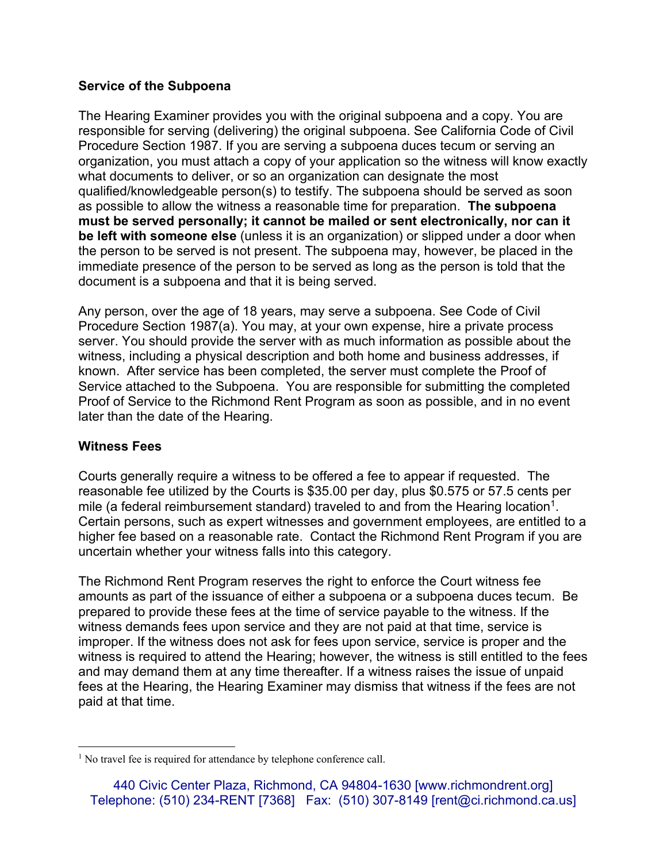## **Service of the Subpoena**

The Hearing Examiner provides you with the original subpoena and a copy. You are responsible for serving (delivering) the original subpoena. See California Code of Civil Procedure Section 1987. If you are serving a subpoena duces tecum or serving an organization, you must attach a copy of your application so the witness will know exactly what documents to deliver, or so an organization can designate the most qualified/knowledgeable person(s) to testify. The subpoena should be served as soon as possible to allow the witness a reasonable time for preparation. **The subpoena must be served personally; it cannot be mailed or sent electronically, nor can it be left with someone else** (unless it is an organization) or slipped under a door when the person to be served is not present. The subpoena may, however, be placed in the immediate presence of the person to be served as long as the person is told that the document is a subpoena and that it is being served.

Any person, over the age of 18 years, may serve a subpoena. See Code of Civil Procedure Section 1987(a). You may, at your own expense, hire a private process server. You should provide the server with as much information as possible about the witness, including a physical description and both home and business addresses, if known. After service has been completed, the server must complete the Proof of Service attached to the Subpoena. You are responsible for submitting the completed Proof of Service to the Richmond Rent Program as soon as possible, and in no event later than the date of the Hearing.

## **Witness Fees**

Courts generally require a witness to be offered a fee to appear if requested. The reasonable fee utilized by the Courts is \$35.00 per day, plus \$0.575 or 57.5 cents per mile (a federal reimbursement standard) traveled to and from the Hearing location<sup>1</sup>. Certain persons, such as expert witnesses and government employees, are entitled to a higher fee based on a reasonable rate. Contact the Richmond Rent Program if you are uncertain whether your witness falls into this category.

The Richmond Rent Program reserves the right to enforce the Court witness fee amounts as part of the issuance of either a subpoena or a subpoena duces tecum. Be prepared to provide these fees at the time of service payable to the witness. If the witness demands fees upon service and they are not paid at that time, service is improper. If the witness does not ask for fees upon service, service is proper and the witness is required to attend the Hearing; however, the witness is still entitled to the fees and may demand them at any time thereafter. If a witness raises the issue of unpaid fees at the Hearing, the Hearing Examiner may dismiss that witness if the fees are not paid at that time.

<sup>&</sup>lt;u>.</u> <sup>1</sup> No travel fee is required for attendance by telephone conference call.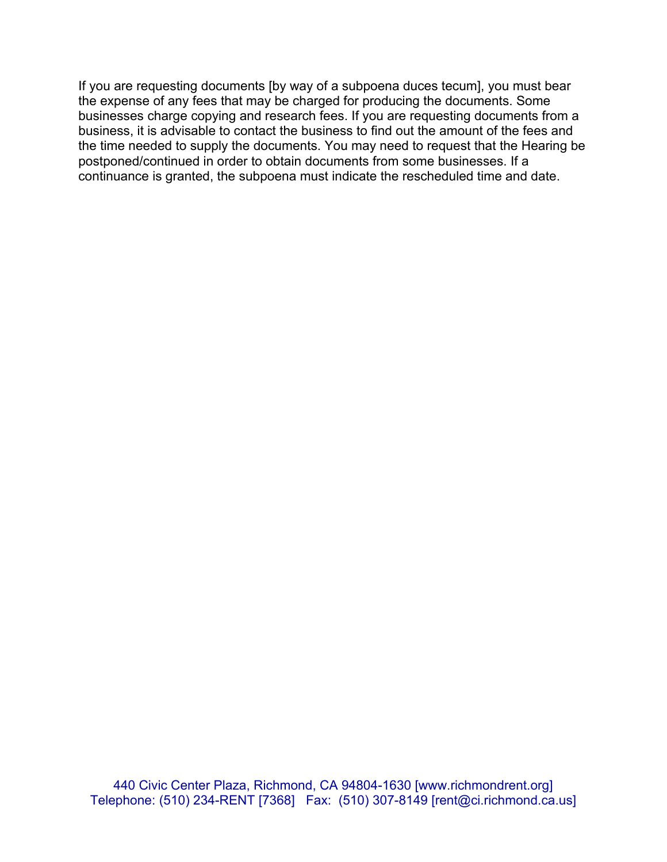If you are requesting documents [by way of a subpoena duces tecum], you must bear the expense of any fees that may be charged for producing the documents. Some businesses charge copying and research fees. If you are requesting documents from a business, it is advisable to contact the business to find out the amount of the fees and the time needed to supply the documents. You may need to request that the Hearing be postponed/continued in order to obtain documents from some businesses. If a continuance is granted, the subpoena must indicate the rescheduled time and date.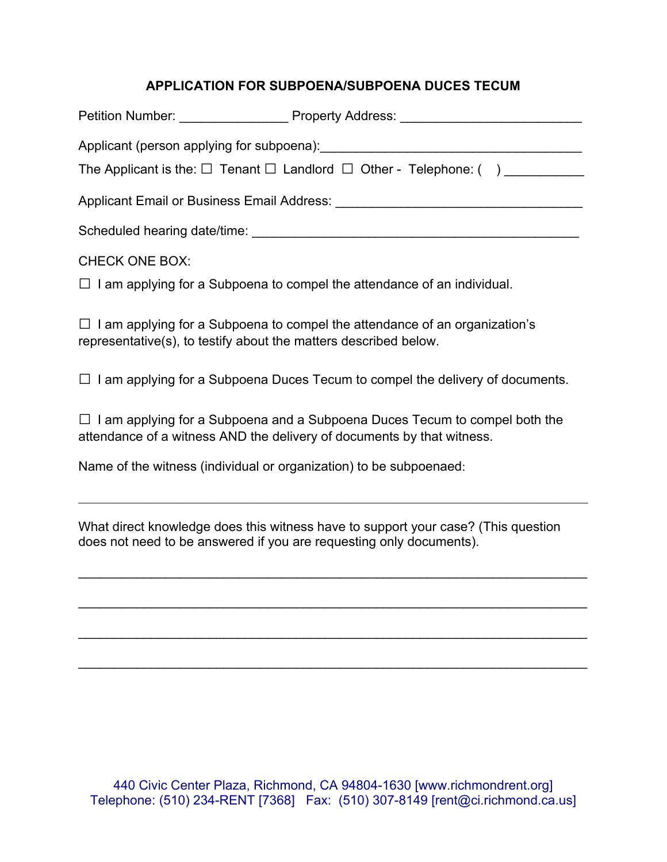# **APPLICATION FOR SUBPOENA/SUBPOENA DUCES TECUM**

|                                                              | The Applicant is the: $\square$ Tenant $\square$ Landlord $\square$ Other - Telephone: () |
|--------------------------------------------------------------|-------------------------------------------------------------------------------------------|
|                                                              |                                                                                           |
| Scheduled hearing date/time:<br>Scheduled hearing date/time: |                                                                                           |
| <b>CHECK ONE BOX:</b>                                        |                                                                                           |

 $\Box$  I am applying for a Subpoena to compel the attendance of an individual.

 $\Box$  I am applying for a Subpoena to compel the attendance of an organization's representative(s), to testify about the matters described below.

 $\Box$  I am applying for a Subpoena Duces Tecum to compel the delivery of documents.

 $\Box$  I am applying for a Subpoena and a Subpoena Duces Tecum to compel both the attendance of a witness AND the delivery of documents by that witness.

Name of the witness (individual or organization) to be subpoenaed:

What direct knowledge does this witness have to support your case? (This question does not need to be answered if you are requesting only documents).

 $\mathcal{L}_\mathcal{L} = \{ \mathcal{L}_\mathcal{L} = \{ \mathcal{L}_\mathcal{L} = \{ \mathcal{L}_\mathcal{L} = \{ \mathcal{L}_\mathcal{L} = \{ \mathcal{L}_\mathcal{L} = \{ \mathcal{L}_\mathcal{L} = \{ \mathcal{L}_\mathcal{L} = \{ \mathcal{L}_\mathcal{L} = \{ \mathcal{L}_\mathcal{L} = \{ \mathcal{L}_\mathcal{L} = \{ \mathcal{L}_\mathcal{L} = \{ \mathcal{L}_\mathcal{L} = \{ \mathcal{L}_\mathcal{L} = \{ \mathcal{L}_\mathcal{$ 

\_\_\_\_\_\_\_\_\_\_\_\_\_\_\_\_\_\_\_\_\_\_\_\_\_\_\_\_\_\_\_\_\_\_\_\_\_\_\_\_\_\_\_\_\_\_\_\_\_\_\_\_\_\_\_\_\_\_\_\_\_\_\_\_\_\_\_\_\_\_

 $\mathcal{L}_\mathcal{L} = \{ \mathcal{L}_\mathcal{L} = \{ \mathcal{L}_\mathcal{L} = \{ \mathcal{L}_\mathcal{L} = \{ \mathcal{L}_\mathcal{L} = \{ \mathcal{L}_\mathcal{L} = \{ \mathcal{L}_\mathcal{L} = \{ \mathcal{L}_\mathcal{L} = \{ \mathcal{L}_\mathcal{L} = \{ \mathcal{L}_\mathcal{L} = \{ \mathcal{L}_\mathcal{L} = \{ \mathcal{L}_\mathcal{L} = \{ \mathcal{L}_\mathcal{L} = \{ \mathcal{L}_\mathcal{L} = \{ \mathcal{L}_\mathcal{$ 

\_\_\_\_\_\_\_\_\_\_\_\_\_\_\_\_\_\_\_\_\_\_\_\_\_\_\_\_\_\_\_\_\_\_\_\_\_\_\_\_\_\_\_\_\_\_\_\_\_\_\_\_\_\_\_\_\_\_\_\_\_\_\_\_\_\_\_\_\_\_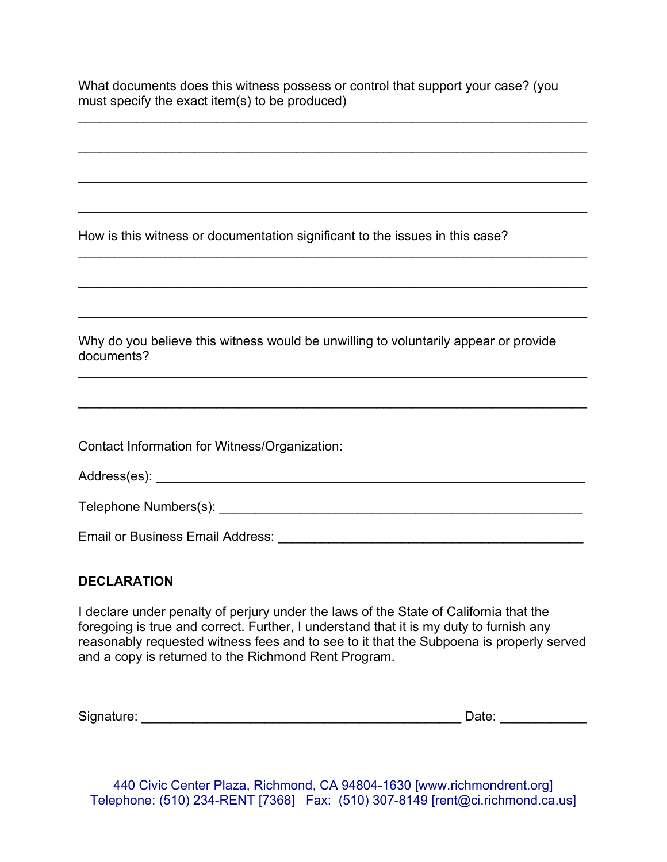## **DECLARATION**

I declare under penalty of perjury under the laws of the State of California that the foregoing is true and correct. Further, I understand that it is my duty to furnish any reasonably requested witness fees and to see to it that the Subpoena is properly served and a copy is returned to the Richmond Rent Program.

Signature: \_\_\_\_\_\_\_\_\_\_\_\_\_\_\_\_\_\_\_\_\_\_\_\_\_\_\_\_\_\_\_\_\_\_\_\_\_\_\_\_\_\_\_\_ Date: \_\_\_\_\_\_\_\_\_\_\_\_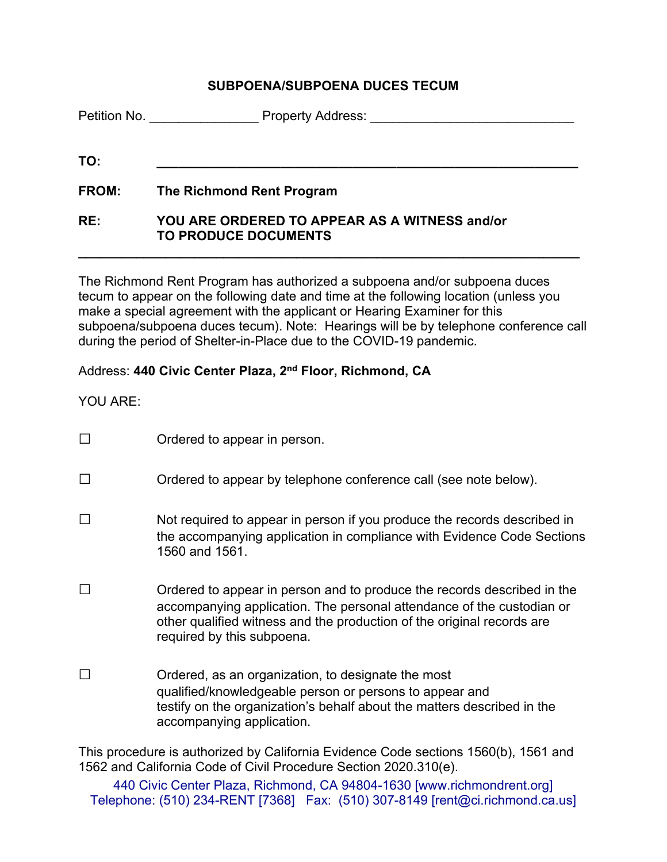## **SUBPOENA/SUBPOENA DUCES TECUM**

|              | <b>Petition No.</b> Petition No.<br><b>Property Address:</b>                 |
|--------------|------------------------------------------------------------------------------|
| TO:          |                                                                              |
| <b>FROM:</b> | The Richmond Rent Program                                                    |
| RE:          | YOU ARE ORDERED TO APPEAR AS A WITNESS and/or<br><b>TO PRODUCE DOCUMENTS</b> |

The Richmond Rent Program has authorized a subpoena and/or subpoena duces tecum to appear on the following date and time at the following location (unless you make a special agreement with the applicant or Hearing Examiner for this subpoena/subpoena duces tecum). Note: Hearings will be by telephone conference call during the period of Shelter-in-Place due to the COVID-19 pandemic.

**\_\_\_\_\_\_\_\_\_\_\_\_\_\_\_\_\_\_\_\_\_\_\_\_\_\_\_\_\_\_\_\_\_\_\_\_\_\_\_\_\_\_\_\_\_\_\_\_\_\_\_\_\_\_\_\_\_\_\_\_\_\_\_\_\_\_\_\_\_** 

# Address: **440 Civic Center Plaza, 2nd Floor, Richmond, CA**

YOU ARE:

| $\Box$ | Ordered to appear in person.                                                                                                                                                                                                                             |
|--------|----------------------------------------------------------------------------------------------------------------------------------------------------------------------------------------------------------------------------------------------------------|
| $\Box$ | Ordered to appear by telephone conference call (see note below).                                                                                                                                                                                         |
|        | Not required to appear in person if you produce the records described in<br>the accompanying application in compliance with Evidence Code Sections<br>1560 and 1561.                                                                                     |
|        | Ordered to appear in person and to produce the records described in the<br>accompanying application. The personal attendance of the custodian or<br>other qualified witness and the production of the original records are<br>required by this subpoena. |
|        | Ordered, as an organization, to designate the most<br>qualified/knowledgeable person or persons to appear and<br>testify on the organization's behalf about the matters described in the<br>accompanying application.                                    |
|        | This procedure is authorized by California Evidence Code sections 1560(b), 1561 and                                                                                                                                                                      |

1562 and California Code of Civil Procedure Section 2020.310(e).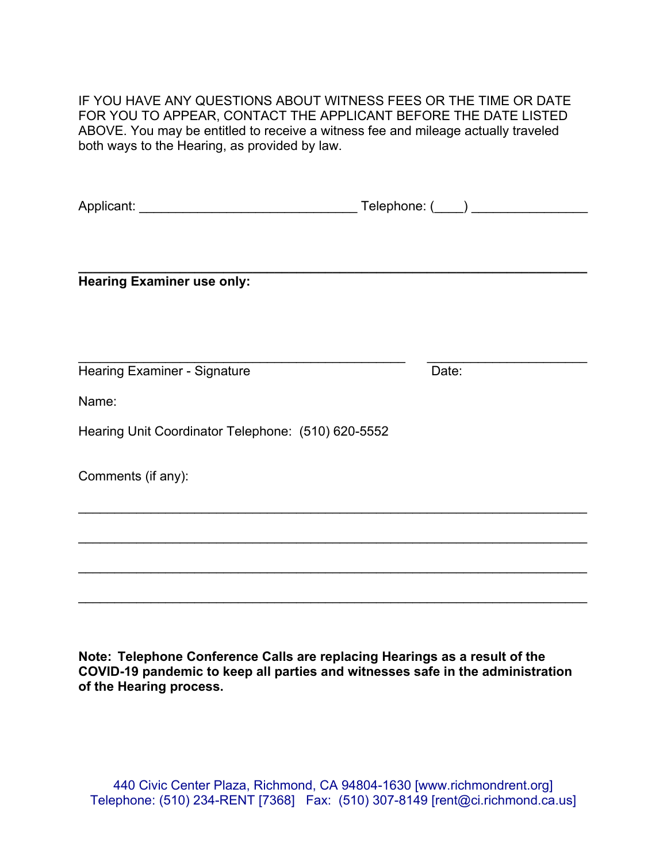IF YOU HAVE ANY QUESTIONS ABOUT WITNESS FEES OR THE TIME OR DATE FOR YOU TO APPEAR, CONTACT THE APPLICANT BEFORE THE DATE LISTED ABOVE. You may be entitled to receive a witness fee and mileage actually traveled both ways to the Hearing, as provided by law.

|                                                    | Telephone: (____) ________________ |
|----------------------------------------------------|------------------------------------|
|                                                    |                                    |
|                                                    |                                    |
| <b>Hearing Examiner use only:</b>                  |                                    |
|                                                    |                                    |
|                                                    |                                    |
| <b>Hearing Examiner - Signature</b>                | Date:                              |
| Name:                                              |                                    |
| Hearing Unit Coordinator Telephone: (510) 620-5552 |                                    |
| Comments (if any):                                 |                                    |
|                                                    |                                    |
|                                                    |                                    |
|                                                    |                                    |
|                                                    |                                    |
|                                                    |                                    |

**Note: Telephone Conference Calls are replacing Hearings as a result of the COVID-19 pandemic to keep all parties and witnesses safe in the administration of the Hearing process.**